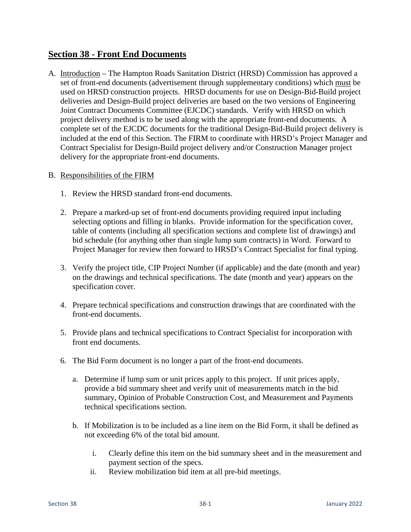## **Section 38 - Front End Documents**

A. Introduction – The Hampton Roads Sanitation District (HRSD) Commission has approved a set of front-end documents (advertisement through supplementary conditions) which must be used on HRSD construction projects. HRSD documents for use on Design-Bid-Build project deliveries and Design-Build project deliveries are based on the two versions of Engineering Joint Contract Documents Committee (EJCDC) standards. Verify with HRSD on which project delivery method is to be used along with the appropriate front-end documents. A complete set of the EJCDC documents for the traditional Design-Bid-Build project delivery is included at the end of this Section. The FIRM to coordinate with HRSD's Project Manager and Contract Specialist for Design-Build project delivery and/or Construction Manager project delivery for the appropriate front-end documents.

## B. Responsibilities of the FIRM

- 1. Review the HRSD standard front-end documents.
- 2. Prepare a marked-up set of front-end documents providing required input including selecting options and filling in blanks. Provide information for the specification cover, table of contents (including all specification sections and complete list of drawings) and bid schedule (for anything other than single lump sum contracts) in Word. Forward to Project Manager for review then forward to HRSD's Contract Specialist for final typing.
- 3. Verify the project title, CIP Project Number (if applicable) and the date (month and year) on the drawings and technical specifications. The date (month and year) appears on the specification cover.
- 4. Prepare technical specifications and construction drawings that are coordinated with the front-end documents.
- 5. Provide plans and technical specifications to Contract Specialist for incorporation with front end documents.
- 6. The Bid Form document is no longer a part of the front-end documents.
	- a. Determine if lump sum or unit prices apply to this project. If unit prices apply, provide a bid summary sheet and verify unit of measurements match in the bid summary, Opinion of Probable Construction Cost, and Measurement and Payments technical specifications section.
	- b. If Mobilization is to be included as a line item on the Bid Form, it shall be defined as not exceeding 6% of the total bid amount.
		- i. Clearly define this item on the bid summary sheet and in the measurement and payment section of the specs.
		- ii. Review mobilization bid item at all pre-bid meetings.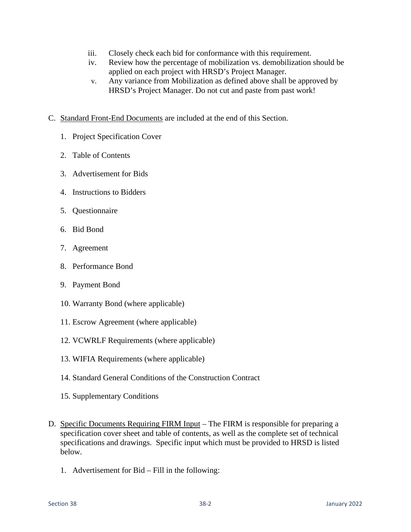- iii. Closely check each bid for conformance with this requirement.
- iv. Review how the percentage of mobilization vs. demobilization should be applied on each project with HRSD's Project Manager.
- v. Any variance from Mobilization as defined above shall be approved by HRSD's Project Manager. Do not cut and paste from past work!
- C. Standard Front-End Documents are included at the end of this Section.
	- 1. Project Specification Cover
	- 2. Table of Contents
	- 3. Advertisement for Bids
	- 4. Instructions to Bidders
	- 5. Questionnaire
	- 6. Bid Bond
	- 7. Agreement
	- 8. Performance Bond
	- 9. Payment Bond
	- 10. Warranty Bond (where applicable)
	- 11. Escrow Agreement (where applicable)
	- 12. VCWRLF Requirements (where applicable)
	- 13. WIFIA Requirements (where applicable)
	- 14. Standard General Conditions of the Construction Contract
	- 15. Supplementary Conditions
- D. Specific Documents Requiring FIRM Input The FIRM is responsible for preparing a specification cover sheet and table of contents, as well as the complete set of technical specifications and drawings. Specific input which must be provided to HRSD is listed below.
	- 1. Advertisement for Bid Fill in the following: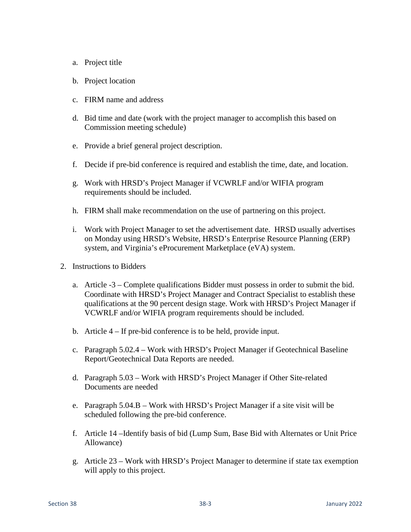- a. Project title
- b. Project location
- c. FIRM name and address
- d. Bid time and date (work with the project manager to accomplish this based on Commission meeting schedule)
- e. Provide a brief general project description.
- f. Decide if pre-bid conference is required and establish the time, date, and location.
- g. Work with HRSD's Project Manager if VCWRLF and/or WIFIA program requirements should be included.
- h. FIRM shall make recommendation on the use of partnering on this project.
- i. Work with Project Manager to set the advertisement date. HRSD usually advertises on Monday using HRSD's Website, HRSD's Enterprise Resource Planning (ERP) system, and Virginia's eProcurement Marketplace (eVA) system.
- 2. Instructions to Bidders
	- a. Article -3 Complete qualifications Bidder must possess in order to submit the bid. Coordinate with HRSD's Project Manager and Contract Specialist to establish these qualifications at the 90 percent design stage. Work with HRSD's Project Manager if VCWRLF and/or WIFIA program requirements should be included.
	- b. Article 4 If pre-bid conference is to be held, provide input.
	- c. Paragraph 5.02.4 Work with HRSD's Project Manager if Geotechnical Baseline Report/Geotechnical Data Reports are needed.
	- d. Paragraph 5.03 Work with HRSD's Project Manager if Other Site-related Documents are needed
	- e. Paragraph 5.04.B Work with HRSD's Project Manager if a site visit will be scheduled following the pre-bid conference.
	- f. Article 14 –Identify basis of bid (Lump Sum, Base Bid with Alternates or Unit Price Allowance)
	- g. Article 23 Work with HRSD's Project Manager to determine if state tax exemption will apply to this project.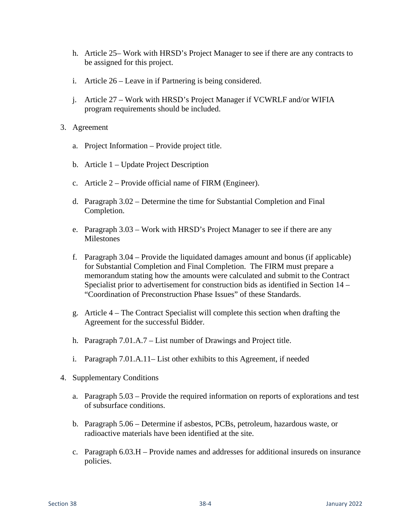- h. Article 25– Work with HRSD's Project Manager to see if there are any contracts to be assigned for this project.
- i. Article 26 Leave in if Partnering is being considered.
- j. Article 27 Work with HRSD's Project Manager if VCWRLF and/or WIFIA program requirements should be included.
- 3. Agreement
	- a. Project Information Provide project title.
	- b. Article 1 Update Project Description
	- c. Article 2 Provide official name of FIRM (Engineer).
	- d. Paragraph 3.02 Determine the time for Substantial Completion and Final Completion.
	- e. Paragraph 3.03 Work with HRSD's Project Manager to see if there are any **Milestones**
	- f. Paragraph 3.04 Provide the liquidated damages amount and bonus (if applicable) for Substantial Completion and Final Completion. The FIRM must prepare a memorandum stating how the amounts were calculated and submit to the Contract Specialist prior to advertisement for construction bids as identified in Section 14 – "Coordination of Preconstruction Phase Issues" of these Standards.
	- g. Article 4 The Contract Specialist will complete this section when drafting the Agreement for the successful Bidder.
	- h. Paragraph 7.01.A.7 List number of Drawings and Project title.
	- i. Paragraph 7.01.A.11– List other exhibits to this Agreement, if needed
- 4. Supplementary Conditions
	- a. Paragraph 5.03 Provide the required information on reports of explorations and test of subsurface conditions.
	- b. Paragraph 5.06 Determine if asbestos, PCBs, petroleum, hazardous waste, or radioactive materials have been identified at the site.
	- c. Paragraph 6.03.H Provide names and addresses for additional insureds on insurance policies.